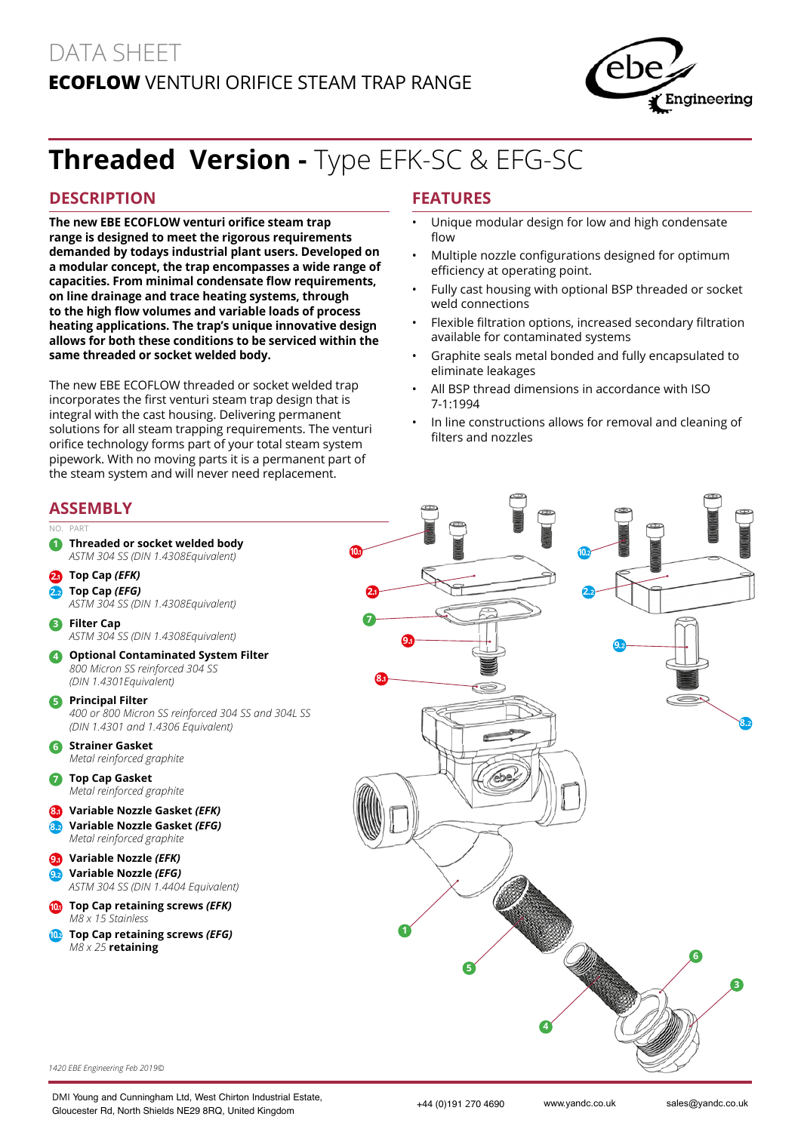## DATA SHEET **EcoFlow** Venturi Orifice Steam Trap Range



# **Threaded Version -** Type EFK-SC & EFG-SC

#### **DESCRIPTION**

**The new EBE ECOFLOW venturi orifice steam trap range is designed to meet the rigorous requirements demanded by todays industrial plant users. Developed on a modular concept, the trap encompasses a wide range of capacities. From minimal condensate flow requirements, on line drainage and trace heating systems, through to the high flow volumes and variable loads of process heating applications. The trap's unique innovative design allows for both these conditions to be serviced within the same threaded or socket welded body.**

The new EBE ECOFLOW threaded or socket welded trap incorporates the first venturi steam trap design that is integral with the cast housing. Delivering permanent solutions for all steam trapping requirements. The venturi orifice technology forms part of your total steam system pipework. With no moving parts it is a permanent part of the steam system and will never need replacement.

#### **Features**

- Unique modular design for low and high condensate flow
- Multiple nozzle configurations designed for optimum efficiency at operating point.
- Fully cast housing with optional BSP threaded or socket weld connections
- Flexible filtration options, increased secondary filtration available for contaminated systems
- Graphite seals metal bonded and fully encapsulated to eliminate leakages
- All BSP thread dimensions in accordance with ISO 7-1:1994
- In line constructions allows for removal and cleaning of filters and nozzles

#### **Assembly**

**2.<sup>1</sup> Top Cap** *(EFK)*  **2.<sup>2</sup> Top Cap** *(EFG)*

**3 Filter Cap** 

**5 Principal Filter** 

**6 Strainer Gasket** 

**7 Top Cap Gasket** 

*M8 x 15 Stainless*

*M8 x 25* **retaining**

No. Part

#### **1 Threaded or socket welded body** *ASTM 304 SS (DIN 1.4308Equivalent) ASTM 304 SS (DIN 1.4308Equivalent) ASTM 304 SS (DIN 1.4308Equivalent)* **4 Optional Contaminated System Filter**  *800 Micron SS reinforced 304 SS (DIN 1.4301Equivalent) 400 or 800 Micron SS reinforced 304 SS and 304L SS (DIN 1.4301 and 1.4306 Equivalent) Metal reinforced graphite Metal reinforced graphite* **8.<sup>1</sup> Variable Nozzle Gasket** *(EFK)* **8.<sup>2</sup> Variable Nozzle Gasket** *(EFG) Metal reinforced graphite* **9.<sup>1</sup> Variable Nozzle** *(EFK)* **9.<sup>2</sup> Variable Nozzle** *(EFG) ASTM 304 SS (DIN 1.4404 Equivalent)* **10.<sup>1</sup> Top Cap retaining screws** *(EFK)* **10.<sup>2</sup> Top Cap retaining screws** *(EFG)* **9.<sup>1</sup> 9.<sup>2</sup> 8.1 7 4 5 6 10.<sup>1</sup> 10.<sup>2</sup> 2.<sup>1</sup> 2.<sup>2</sup> 3 8.2**

*1420 EBE Engineering Feb 2019©*